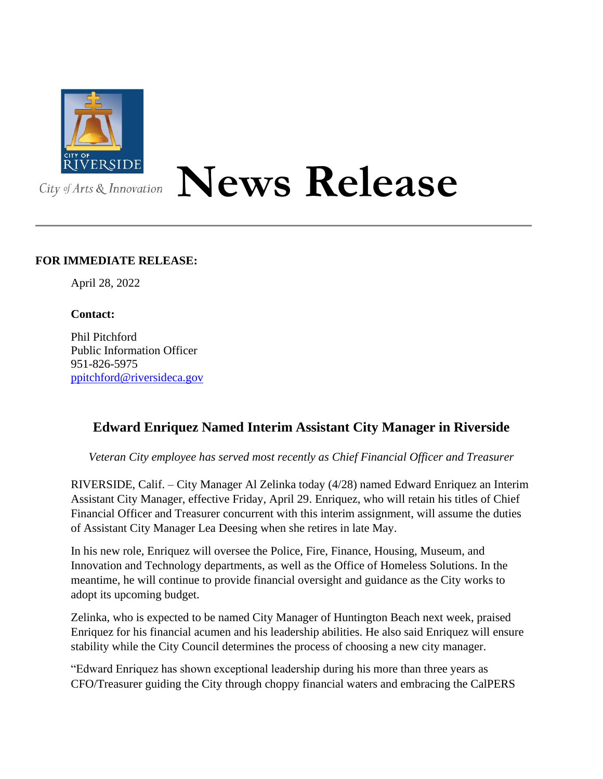

## **News Release**

## **FOR IMMEDIATE RELEASE:**

April 28, 2022

## **Contact:**

Phil Pitchford Public Information Officer 951-826-5975 [ppitchford@riversideca.gov](mailto:ppitchford@riversideca.gov)

## **Edward Enriquez Named Interim Assistant City Manager in Riverside**

*Veteran City employee has served most recently as Chief Financial Officer and Treasurer*

RIVERSIDE, Calif. – City Manager Al Zelinka today (4/28) named Edward Enriquez an Interim Assistant City Manager, effective Friday, April 29. Enriquez, who will retain his titles of Chief Financial Officer and Treasurer concurrent with this interim assignment, will assume the duties of Assistant City Manager Lea Deesing when she retires in late May.

In his new role, Enriquez will oversee the Police, Fire, Finance, Housing, Museum, and Innovation and Technology departments, as well as the Office of Homeless Solutions. In the meantime, he will continue to provide financial oversight and guidance as the City works to adopt its upcoming budget.

Zelinka, who is expected to be named City Manager of Huntington Beach next week, praised Enriquez for his financial acumen and his leadership abilities. He also said Enriquez will ensure stability while the City Council determines the process of choosing a new city manager.

"Edward Enriquez has shown exceptional leadership during his more than three years as CFO/Treasurer guiding the City through choppy financial waters and embracing the CalPERS